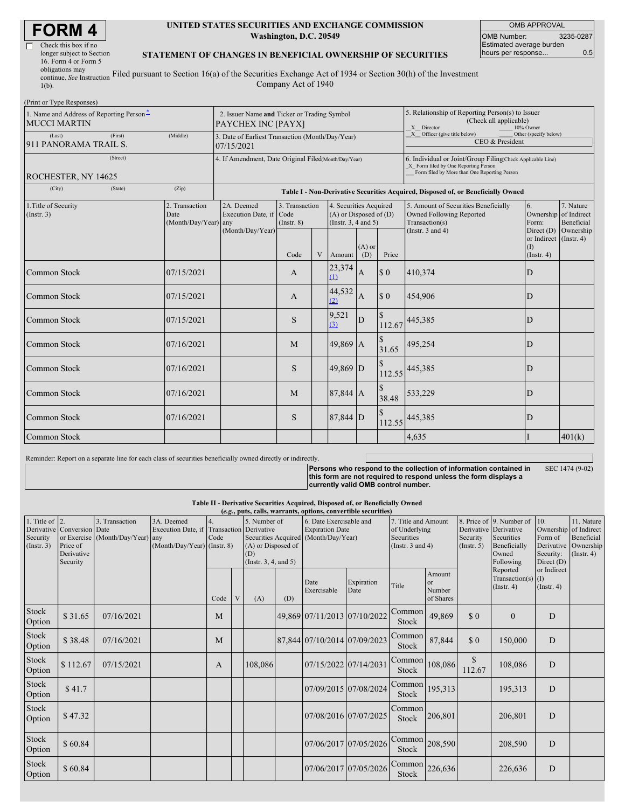| <b>FORM4</b> |
|--------------|
|--------------|

| Check this box if no      |    |
|---------------------------|----|
| longer subject to Section |    |
| 16. Form 4 or Form 5      |    |
| obligations may           |    |
| continue. See Instruction | Fi |

#### **UNITED STATES SECURITIES AND EXCHANGE COMMISSION Washington, D.C. 20549**

OMB APPROVAL OMB Number: 3235-0287 Estimated average burden hours per response... 0.5

### **STATEMENT OF CHANGES IN BENEFICIAL OWNERSHIP OF SECURITIES**

continue. *See* Instruction 1(b). iled pursuant to Section 16(a) of the Securities Exchange Act of 1934 or Section 30(h) of the Investment Company Act of 1940

| (Print or Type Responses)                                       |                                                |                                                                                  |                                       |   |                                                                              |                 |                                                                                                                                                    |                                                                                                             |                                             |                                                 |  |  |
|-----------------------------------------------------------------|------------------------------------------------|----------------------------------------------------------------------------------|---------------------------------------|---|------------------------------------------------------------------------------|-----------------|----------------------------------------------------------------------------------------------------------------------------------------------------|-------------------------------------------------------------------------------------------------------------|---------------------------------------------|-------------------------------------------------|--|--|
| 1. Name and Address of Reporting Person-<br><b>MUCCI MARTIN</b> |                                                | 2. Issuer Name and Ticker or Trading Symbol<br>PAYCHEX INC [PAYX]                |                                       |   |                                                                              |                 | 5. Relationship of Reporting Person(s) to Issuer<br>(Check all applicable)<br>X Director<br>10% Owner                                              |                                                                                                             |                                             |                                                 |  |  |
| (First)<br>(Last)<br>911 PANORAMA TRAIL S.                      | (Middle)                                       | 3. Date of Earliest Transaction (Month/Day/Year)<br>07/15/2021                   |                                       |   |                                                                              |                 | $X$ Officer (give title below)<br>Other (specify below)<br>CEO & President                                                                         |                                                                                                             |                                             |                                                 |  |  |
| (Street)<br>ROCHESTER, NY 14625                                 |                                                | 4. If Amendment, Date Original Filed(Month/Day/Year)                             |                                       |   |                                                                              |                 | 6. Individual or Joint/Group Filing(Check Applicable Line)<br>X Form filed by One Reporting Person<br>Form filed by More than One Reporting Person |                                                                                                             |                                             |                                                 |  |  |
| (City)<br>(State)                                               | (Zip)                                          | Table I - Non-Derivative Securities Acquired, Disposed of, or Beneficially Owned |                                       |   |                                                                              |                 |                                                                                                                                                    |                                                                                                             |                                             |                                                 |  |  |
| 1. Title of Security<br>$($ Instr. 3 $)$                        | 2. Transaction<br>Date<br>(Month/Day/Year) any | 2A. Deemed<br>Execution Date, if<br>(Month/Day/Year)                             | 3. Transaction<br>Code<br>(Insert. 8) |   | 4. Securities Acquired<br>$(A)$ or Disposed of $(D)$<br>(Insert. 3, 4 and 5) |                 |                                                                                                                                                    | 5. Amount of Securities Beneficially<br>Owned Following Reported<br>Transaction(s)<br>(Instr. $3$ and $4$ ) | 6.<br>Ownership of Indirect<br>Form:        | 7. Nature<br>Beneficial<br>Direct (D) Ownership |  |  |
|                                                                 |                                                |                                                                                  | Code                                  | V | Amount                                                                       | $(A)$ or<br>(D) | Price                                                                                                                                              |                                                                                                             | or Indirect (Instr. 4)<br>(I)<br>(Instr. 4) |                                                 |  |  |
| Common Stock                                                    | 07/15/2021                                     |                                                                                  | $\mathbf{A}$                          |   | 23,374<br>(1)                                                                | $\mathbf{A}$    | $\Omega$                                                                                                                                           | 410,374                                                                                                     | D                                           |                                                 |  |  |
| Common Stock                                                    | 07/15/2021                                     |                                                                                  | A                                     |   | 44,532<br>(2)                                                                | $\mathbf{A}$    | $\Omega$                                                                                                                                           | 454,906                                                                                                     | D                                           |                                                 |  |  |
| Common Stock                                                    | 07/15/2021                                     |                                                                                  | S                                     |   | 9,521<br>(3)                                                                 | D               | \$<br>112.67                                                                                                                                       | 445,385                                                                                                     | D                                           |                                                 |  |  |
| Common Stock                                                    | 07/16/2021                                     |                                                                                  | M                                     |   | 49,869 A                                                                     |                 | 31.65                                                                                                                                              | 495,254                                                                                                     | D                                           |                                                 |  |  |
| Common Stock                                                    | 07/16/2021                                     |                                                                                  | S.                                    |   | 49,869 D                                                                     |                 | 112.55                                                                                                                                             | 445,385                                                                                                     | D                                           |                                                 |  |  |
| <b>Common Stock</b>                                             | 07/16/2021                                     |                                                                                  | M                                     |   | 87,844 A                                                                     |                 | 38.48                                                                                                                                              | 533,229                                                                                                     | D                                           |                                                 |  |  |
| Common Stock                                                    | 07/16/2021                                     |                                                                                  | <sub>S</sub>                          |   | $87,844$ D                                                                   |                 | 112.55                                                                                                                                             | 445,385                                                                                                     | D                                           |                                                 |  |  |
| Common Stock                                                    |                                                |                                                                                  |                                       |   |                                                                              |                 |                                                                                                                                                    | 4,635                                                                                                       |                                             | 401(k)                                          |  |  |

Reminder: Report on a separate line for each class of securities beneficially owned directly or indirectly.

**Persons who respond to the collection of information contained in this form are not required to respond unless the form displays a currently valid OMB control number.** SEC 1474 (9-02)

**Table II - Derivative Securities Acquired, Disposed of, or Beneficially Owned**

|                                                   | (e.g., puts, calls, warrants, options, convertible securities)   |                                                    |                                                                                          |            |  |                                                                    |     |                                                                                           |                       |                                                      |                                     |                     |                                                      |                                 |                                                                                                       |                                                                                     |                                                      |
|---------------------------------------------------|------------------------------------------------------------------|----------------------------------------------------|------------------------------------------------------------------------------------------|------------|--|--------------------------------------------------------------------|-----|-------------------------------------------------------------------------------------------|-----------------------|------------------------------------------------------|-------------------------------------|---------------------|------------------------------------------------------|---------------------------------|-------------------------------------------------------------------------------------------------------|-------------------------------------------------------------------------------------|------------------------------------------------------|
| 1. Title of $\vert$ 2.<br>Security<br>(Insert. 3) | Derivative Conversion Date<br>Price of<br>Derivative<br>Security | 3. Transaction<br>or Exercise (Month/Day/Year) any | 3A. Deemed<br>Execution Date, if Transaction Derivative<br>$(Month/Day/Year)$ (Instr. 8) | 4.<br>Code |  | 5. Number of<br>(A) or Disposed of<br>(D)<br>(Insert. 3, 4, and 5) |     | 6. Date Exercisable and<br><b>Expiration Date</b><br>Securities Acquired (Month/Day/Year) |                       | of Underlying<br>Securities<br>(Instr. $3$ and $4$ ) |                                     | 7. Title and Amount |                                                      | Security<br>(Insert. 5)         | 8. Price of 9. Number of<br>Derivative Derivative<br>Securities<br>Beneficially<br>Owned<br>Following | 110.<br>Ownership of Indirect<br>Form of<br>Derivative<br>Security:<br>Direct $(D)$ | 11. Nature<br>Beneficial<br>Ownership<br>(Insert. 4) |
|                                                   |                                                                  |                                                    |                                                                                          | Code       |  | (A)                                                                | (D) | Date<br>Exercisable                                                                       | Expiration<br>Date    | Title                                                | Amount<br>or<br>Number<br>of Shares |                     | Reported<br>Transaction(s) $(I)$<br>$($ Instr. 4 $)$ | or Indirect<br>$($ Instr. 4 $)$ |                                                                                                       |                                                                                     |                                                      |
| Stock<br>Option                                   | \$31.65                                                          | 07/16/2021                                         |                                                                                          | M          |  |                                                                    |     | 49,869 07/11/2013 07/10/2022                                                              |                       | Common<br>Stock                                      | 49,869                              | \$0                 | $\theta$                                             | D                               |                                                                                                       |                                                                                     |                                                      |
| Stock<br>Option                                   | \$38.48                                                          | 07/16/2021                                         |                                                                                          | M          |  |                                                                    |     | 87,844 07/10/2014 07/09/2023                                                              |                       | Common<br>Stock                                      | 87,844                              | \$0                 | 150,000                                              | D                               |                                                                                                       |                                                                                     |                                                      |
| Stock<br>Option                                   | \$112.67                                                         | 07/15/2021                                         |                                                                                          | A          |  | 108,086                                                            |     | 07/15/2022 07/14/2031                                                                     |                       | Common<br>Stock                                      | 108,086                             | \$<br>112.67        | 108,086                                              | D                               |                                                                                                       |                                                                                     |                                                      |
| Stock<br>Option                                   | \$41.7                                                           |                                                    |                                                                                          |            |  |                                                                    |     | 07/09/2015 07/08/2024                                                                     |                       | Common<br>Stock                                      | 195,313                             |                     | 195,313                                              | D                               |                                                                                                       |                                                                                     |                                                      |
| Stock<br>Option                                   | \$47.32                                                          |                                                    |                                                                                          |            |  |                                                                    |     |                                                                                           | 07/08/2016 07/07/2025 | <b>Common</b><br>Stock                               | 206,801                             |                     | 206,801                                              | D                               |                                                                                                       |                                                                                     |                                                      |
| Stock<br>Option                                   | \$60.84                                                          |                                                    |                                                                                          |            |  |                                                                    |     | 07/06/2017 07/05/2026                                                                     |                       | Common<br>Stock                                      | 208,590                             |                     | 208,590                                              | D                               |                                                                                                       |                                                                                     |                                                      |
| Stock<br>Option                                   | \$60.84                                                          |                                                    |                                                                                          |            |  |                                                                    |     |                                                                                           | 07/06/2017 07/05/2026 | Common<br>Stock                                      | 226,636                             |                     | 226,636                                              | $\mathbf D$                     |                                                                                                       |                                                                                     |                                                      |